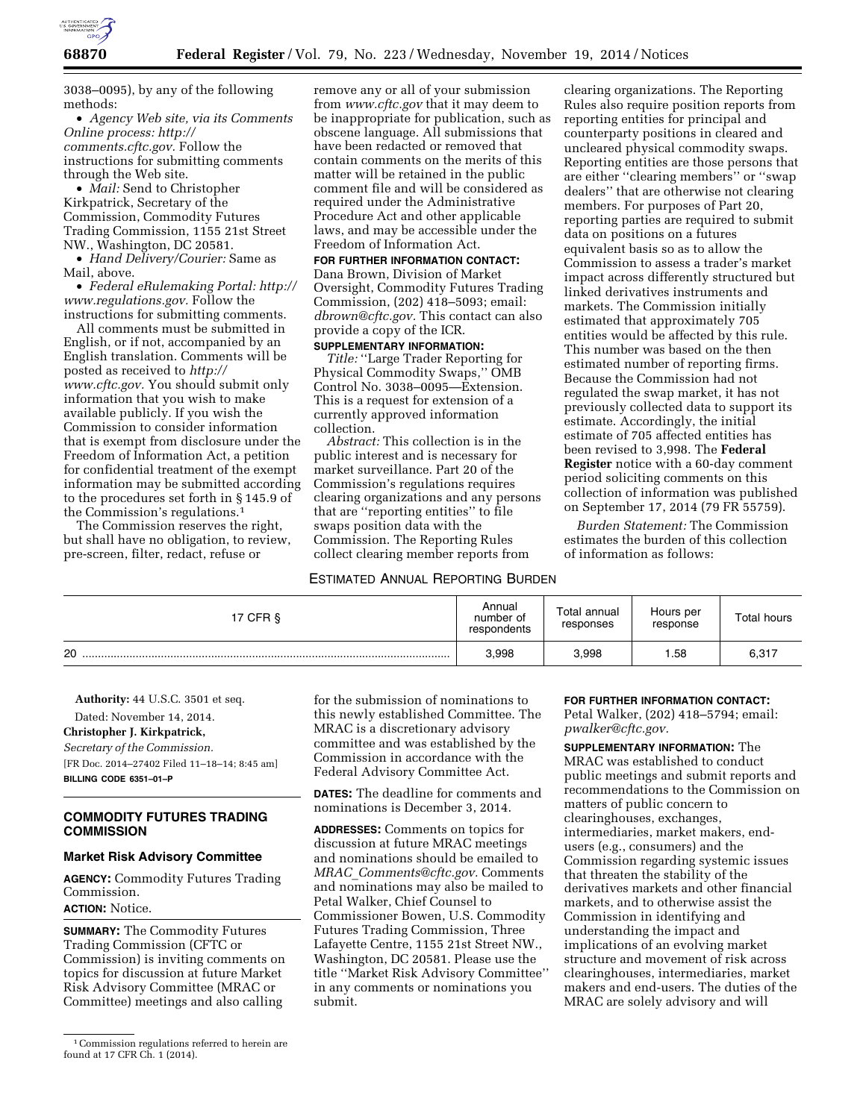

3038–0095), by any of the following methods:

• *Agency Web site, via its Comments Online process: [http://](http://comments.cftc.gov) [comments.cftc.gov.](http://comments.cftc.gov)* Follow the instructions for submitting comments through the Web site.

• *Mail:* Send to Christopher Kirkpatrick, Secretary of the Commission, Commodity Futures Trading Commission, 1155 21st Street NW., Washington, DC 20581.

• *Hand Delivery/Courier:* Same as Mail, above.

• *Federal eRulemaking Portal: [http://](http://www.regulations.gov)  [www.regulations.gov.](http://www.regulations.gov)* Follow the instructions for submitting comments.

All comments must be submitted in English, or if not, accompanied by an English translation. Comments will be posted as received to *[http://](http://www.cftc.gov) [www.cftc.gov.](http://www.cftc.gov)* You should submit only information that you wish to make available publicly. If you wish the Commission to consider information that is exempt from disclosure under the Freedom of Information Act, a petition for confidential treatment of the exempt information may be submitted according to the procedures set forth in § 145.9 of the Commission's regulations.<sup>1</sup>

The Commission reserves the right, but shall have no obligation, to review, pre-screen, filter, redact, refuse or

remove any or all of your submission from *[www.cftc.gov](http://www.cftc.gov)* that it may deem to be inappropriate for publication, such as obscene language. All submissions that have been redacted or removed that contain comments on the merits of this matter will be retained in the public comment file and will be considered as required under the Administrative Procedure Act and other applicable laws, and may be accessible under the Freedom of Information Act.

## **FOR FURTHER INFORMATION CONTACT:**

Dana Brown, Division of Market Oversight, Commodity Futures Trading Commission, (202) 418–5093; email: *[dbrown@cftc.gov.](mailto:dbrown@cftc.gov)* This contact can also provide a copy of the ICR.

# **SUPPLEMENTARY INFORMATION:**

*Title:* ''Large Trader Reporting for Physical Commodity Swaps,'' OMB Control No. 3038–0095—Extension. This is a request for extension of a currently approved information collection.

*Abstract:* This collection is in the public interest and is necessary for market surveillance. Part 20 of the Commission's regulations requires clearing organizations and any persons that are ''reporting entities'' to file swaps position data with the Commission. The Reporting Rules collect clearing member reports from

## ESTIMATED ANNUAL REPORTING BURDEN

clearing organizations. The Reporting Rules also require position reports from reporting entities for principal and counterparty positions in cleared and uncleared physical commodity swaps. Reporting entities are those persons that are either ''clearing members'' or ''swap dealers'' that are otherwise not clearing members. For purposes of Part 20, reporting parties are required to submit data on positions on a futures equivalent basis so as to allow the Commission to assess a trader's market impact across differently structured but linked derivatives instruments and markets. The Commission initially estimated that approximately 705 entities would be affected by this rule. This number was based on the then estimated number of reporting firms. Because the Commission had not regulated the swap market, it has not previously collected data to support its estimate. Accordingly, the initial estimate of 705 affected entities has been revised to 3,998. The **Federal Register** notice with a 60-day comment period soliciting comments on this collection of information was published on September 17, 2014 (79 FR 55759).

*Burden Statement:* The Commission estimates the burden of this collection of information as follows:

| 17 CFR § | Annual<br>number of<br>respondents | Total annual<br>responses | Hours per<br>response | Total hours |
|----------|------------------------------------|---------------------------|-----------------------|-------------|
| 20       | 3,998                              | 3,998                     | .58                   | 6,317       |

**Authority:** 44 U.S.C. 3501 et seq.

Dated: November 14, 2014. **Christopher J. Kirkpatrick,**  *Secretary of the Commission.*  [FR Doc. 2014–27402 Filed 11–18–14; 8:45 am] **BILLING CODE 6351–01–P** 

# **COMMODITY FUTURES TRADING COMMISSION**

#### **Market Risk Advisory Committee**

**AGENCY:** Commodity Futures Trading Commission.

**ACTION:** Notice.

**SUMMARY:** The Commodity Futures Trading Commission (CFTC or Commission) is inviting comments on topics for discussion at future Market Risk Advisory Committee (MRAC or Committee) meetings and also calling

for the submission of nominations to this newly established Committee. The MRAC is a discretionary advisory committee and was established by the Commission in accordance with the Federal Advisory Committee Act.

**DATES:** The deadline for comments and nominations is December 3, 2014.

**ADDRESSES:** Comments on topics for discussion at future MRAC meetings and nominations should be emailed to *MRAC*\_*[Comments@cftc.gov.](mailto:MRAC_Comments@cftc.gov)* Comments and nominations may also be mailed to Petal Walker, Chief Counsel to Commissioner Bowen, U.S. Commodity Futures Trading Commission, Three Lafayette Centre, 1155 21st Street NW., Washington, DC 20581. Please use the title ''Market Risk Advisory Committee'' in any comments or nominations you submit.

### **FOR FURTHER INFORMATION CONTACT:**

Petal Walker, (202) 418–5794; email: *[pwalker@cftc.gov.](mailto:pwalker@cftc.gov)* 

**SUPPLEMENTARY INFORMATION:** The MRAC was established to conduct public meetings and submit reports and recommendations to the Commission on matters of public concern to clearinghouses, exchanges, intermediaries, market makers, endusers (e.g., consumers) and the Commission regarding systemic issues that threaten the stability of the derivatives markets and other financial markets, and to otherwise assist the Commission in identifying and understanding the impact and implications of an evolving market structure and movement of risk across clearinghouses, intermediaries, market makers and end-users. The duties of the MRAC are solely advisory and will

<sup>1</sup>Commission regulations referred to herein are found at 17 CFR Ch. 1 (2014).